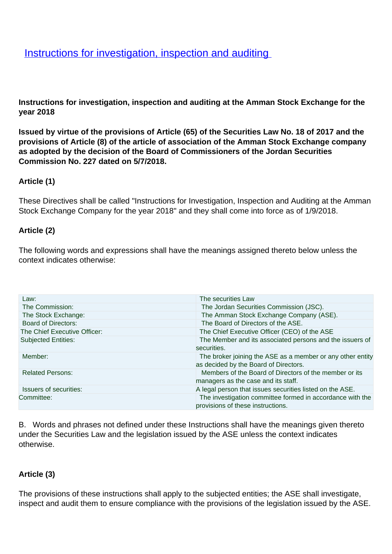# **[Instructions for investigation, inspection and auditing](/en/Legislation/Directives/Instructions-investigation-inspection-and-auditing)**

**Instructions for investigation, inspection and auditing at the Amman Stock Exchange for the year 2018**

**Issued by virtue of the provisions of Article (65) of the Securities Law No. 18 of 2017 and the provisions of Article (8) of the article of association of the Amman Stock Exchange company as adopted by the decision of the Board of Commissioners of the Jordan Securities Commission No. 227 dated on 5/7/2018.**

#### **Article (1)**

These Directives shall be called "Instructions for Investigation, Inspection and Auditing at the Amman Stock Exchange Company for the year 2018" and they shall come into force as of 1/9/2018.

#### **Article (2)**

The following words and expressions shall have the meanings assigned thereto below unless the context indicates otherwise:

| Law:                          | The securities Law                                                                             |
|-------------------------------|------------------------------------------------------------------------------------------------|
| The Commission:               | The Jordan Securities Commission (JSC).                                                        |
| The Stock Exchange:           | The Amman Stock Exchange Company (ASE).                                                        |
| <b>Board of Directors:</b>    | The Board of Directors of the ASE.                                                             |
| The Chief Executive Officer:  | The Chief Executive Officer (CEO) of the ASE                                                   |
| <b>Subjected Entities:</b>    | The Member and its associated persons and the issuers of                                       |
|                               | securities.                                                                                    |
| Member:                       | The broker joining the ASE as a member or any other entity                                     |
|                               | as decided by the Board of Directors.                                                          |
| <b>Related Persons:</b>       | Members of the Board of Directors of the member or its                                         |
|                               | managers as the case and its staff.                                                            |
| <b>Issuers of securities:</b> | A legal person that issues securities listed on the ASE.                                       |
| Committee:                    | The investigation committee formed in accordance with the<br>provisions of these instructions. |

B. Words and phrases not defined under these Instructions shall have the meanings given thereto under the Securities Law and the legislation issued by the ASE unless the context indicates otherwise.

#### **Article (3)**

The provisions of these instructions shall apply to the subjected entities; the ASE shall investigate, inspect and audit them to ensure compliance with the provisions of the legislation issued by the ASE.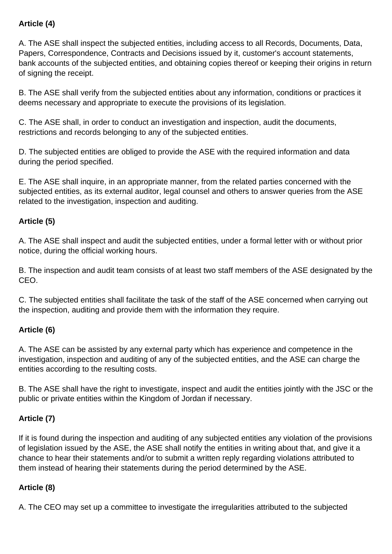## **Article (4)**

A. The ASE shall inspect the subjected entities, including access to all Records, Documents, Data, Papers, Correspondence, Contracts and Decisions issued by it, customer's account statements, bank accounts of the subjected entities, and obtaining copies thereof or keeping their origins in return of signing the receipt.

B. The ASE shall verify from the subjected entities about any information, conditions or practices it deems necessary and appropriate to execute the provisions of its legislation.

C. The ASE shall, in order to conduct an investigation and inspection, audit the documents, restrictions and records belonging to any of the subjected entities.

D. The subjected entities are obliged to provide the ASE with the required information and data during the period specified.

E. The ASE shall inquire, in an appropriate manner, from the related parties concerned with the subjected entities, as its external auditor, legal counsel and others to answer queries from the ASE related to the investigation, inspection and auditing.

#### **Article (5)**

A. The ASE shall inspect and audit the subjected entities, under a formal letter with or without prior notice, during the official working hours.

B. The inspection and audit team consists of at least two staff members of the ASE designated by the CEO.

C. The subjected entities shall facilitate the task of the staff of the ASE concerned when carrying out the inspection, auditing and provide them with the information they require.

#### **Article (6)**

A. The ASE can be assisted by any external party which has experience and competence in the investigation, inspection and auditing of any of the subjected entities, and the ASE can charge the entities according to the resulting costs.

B. The ASE shall have the right to investigate, inspect and audit the entities jointly with the JSC or the public or private entities within the Kingdom of Jordan if necessary.

## **Article (7)**

If it is found during the inspection and auditing of any subjected entities any violation of the provisions of legislation issued by the ASE, the ASE shall notify the entities in writing about that, and give it a chance to hear their statements and/or to submit a written reply regarding violations attributed to them instead of hearing their statements during the period determined by the ASE.

## **Article (8)**

A. The CEO may set up a committee to investigate the irregularities attributed to the subjected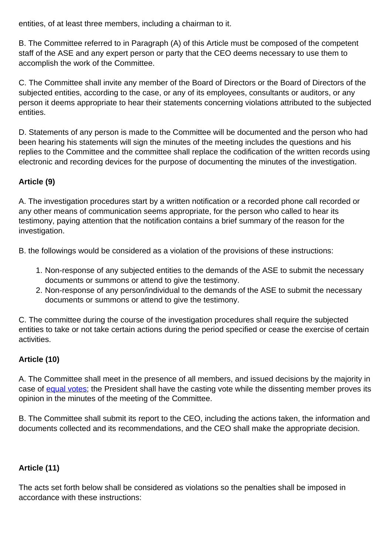entities, of at least three members, including a chairman to it.

B. The Committee referred to in Paragraph (A) of this Article must be composed of the competent staff of the ASE and any expert person or party that the CEO deems necessary to use them to accomplish the work of the Committee.

C. The Committee shall invite any member of the Board of Directors or the Board of Directors of the subjected entities, according to the case, or any of its employees, consultants or auditors, or any person it deems appropriate to hear their statements concerning violations attributed to the subjected entities.

D. Statements of any person is made to the Committee will be documented and the person who had been hearing his statements will sign the minutes of the meeting includes the questions and his replies to the Committee and the committee shall replace the codification of the written records using electronic and recording devices for the purpose of documenting the minutes of the investigation.

## **Article (9)**

A. The investigation procedures start by a written notification or a recorded phone call recorded or any other means of communication seems appropriate, for the person who called to hear its testimony, paying attention that the notification contains a brief summary of the reason for the investigation.

B. the followings would be considered as a violation of the provisions of these instructions:

- 1. Non-response of any subjected entities to the demands of the ASE to submit the necessary documents or summons or attend to give the testimony.
- 2. Non-response of any person/individual to the demands of the ASE to submit the necessary documents or summons or attend to give the testimony.

C. The committee during the course of the investigation procedures shall require the subjected entities to take or not take certain actions during the period specified or cease the exercise of certain activities.

#### **Article (10)**

A. The Committee shall meet in the presence of all members, and issued decisions by the majority in case of [equal votes;](http://context.reverso.net/%D8%A7%D9%84%D8%AA%D8%B1%D8%AC%D9%85%D8%A9/%D8%A7%D9%84%D8%A5%D9%86%D8%AC%D9%84%D9%8A%D8%B2%D9%8A%D8%A9-%D8%A7%D9%84%D8%B9%D8%B1%D8%A8%D9%8A%D8%A9/equal+votes) the President shall have the casting vote while the dissenting member proves its opinion in the minutes of the meeting of the Committee.

B. The Committee shall submit its report to the CEO, including the actions taken, the information and documents collected and its recommendations, and the CEO shall make the appropriate decision.

#### **Article (11)**

The acts set forth below shall be considered as violations so the penalties shall be imposed in accordance with these instructions: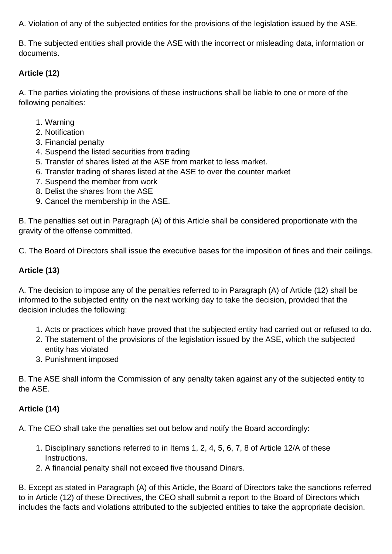A. Violation of any of the subjected entities for the provisions of the legislation issued by the ASE.

B. The subjected entities shall provide the ASE with the incorrect or misleading data, information or documents.

## **Article (12)**

A. The parties violating the provisions of these instructions shall be liable to one or more of the following penalties:

- 1. Warning
- 2. Notification
- 3. Financial penalty
- 4. Suspend the listed securities from trading
- 5. Transfer of shares listed at the ASE from market to less market.
- 6. Transfer trading of shares listed at the ASE to over the counter market
- 7. Suspend the member from work
- 8. Delist the shares from the ASE
- 9. Cancel the membership in the ASE.

B. The penalties set out in Paragraph (A) of this Article shall be considered proportionate with the gravity of the offense committed.

C. The Board of Directors shall issue the executive bases for the imposition of fines and their ceilings.

## **Article (13)**

A. The decision to impose any of the penalties referred to in Paragraph (A) of Article (12) shall be informed to the subjected entity on the next working day to take the decision, provided that the decision includes the following:

- 1. Acts or practices which have proved that the subjected entity had carried out or refused to do.
- 2. The statement of the provisions of the legislation issued by the ASE, which the subjected entity has violated
- 3. Punishment imposed

B. The ASE shall inform the Commission of any penalty taken against any of the subjected entity to the ASE.

#### **Article (14)**

A. The CEO shall take the penalties set out below and notify the Board accordingly:

- 1. Disciplinary sanctions referred to in Items 1, 2, 4, 5, 6, 7, 8 of Article 12/A of these Instructions.
- 2. A financial penalty shall not exceed five thousand Dinars.

B. Except as stated in Paragraph (A) of this Article, the Board of Directors take the sanctions referred to in Article (12) of these Directives, the CEO shall submit a report to the Board of Directors which includes the facts and violations attributed to the subjected entities to take the appropriate decision.